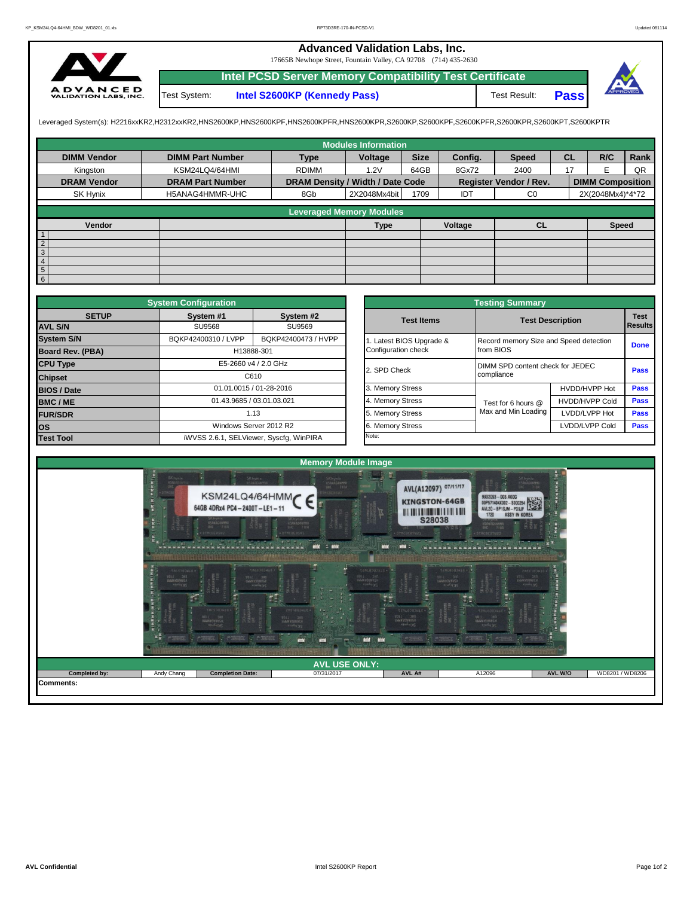## **Advanced Validation Labs, Inc.**

17665B Newhope Street, Fountain Valley, CA 92708 (714) 435-2630



**Intel PCSD Server Memory Compatibility Test Certificate Pass** Test System: **Intel S2600KP (Kennedy Pass)** Test Result:



Leveraged System(s): H2216xxKR2,H2312xxKR2,HNS2600KP,HNS2600KPF,HNS2600KPFR,HNS2600KPR,S2600KP,S2600KPF,S2600KPFR,S2600KPR,S2600KPT,S2600KPTR

|                    |                         |                                  | <b>Modules Information</b>      |             |         |                        |           |                         |      |
|--------------------|-------------------------|----------------------------------|---------------------------------|-------------|---------|------------------------|-----------|-------------------------|------|
| <b>DIMM Vendor</b> | <b>DIMM Part Number</b> | <b>Type</b>                      | Voltage                         | <b>Size</b> | Config. | <b>Speed</b>           | <b>CL</b> | R/C                     | Rank |
| Kingston           | KSM24LQ4/64HMI          | <b>RDIMM</b>                     | 1.2V                            | 64GB        | 8Gx72   | 2400                   | 17        | F                       | QR   |
| <b>DRAM Vendor</b> | <b>DRAM Part Number</b> | DRAM Density / Width / Date Code |                                 |             |         | Register Vendor / Rev. |           | <b>DIMM Composition</b> |      |
| SK Hynix           | H5ANAG4HMMR-UHC         | 8Gb                              | 2X2048Mx4bit                    | 1709        | IDT     | $_{\rm CO}$            |           | 2X(2048Mx4)*4*72        |      |
|                    |                         |                                  | <b>Leveraged Memory Modules</b> |             |         |                        |           |                         |      |
|                    |                         |                                  |                                 |             |         |                        |           |                         |      |
| Vendor             |                         |                                  | <b>Type</b>                     |             | Voltage | <b>CL</b>              |           | <b>Speed</b>            |      |
| $\mathbf{1}$       |                         |                                  |                                 |             |         |                        |           |                         |      |
|                    |                         |                                  |                                 |             |         |                        |           |                         |      |
| $\frac{2}{3}$      |                         |                                  |                                 |             |         |                        |           |                         |      |
| $\overline{4}$     |                         |                                  |                                 |             |         |                        |           |                         |      |
| $5\overline{)}$    |                         |                                  |                                 |             |         |                        |           |                         |      |
| 6                  |                         |                                  |                                 |             |         |                        |           |                         |      |

| <b>System Configuration</b>    |                     |                                         |  | <b>Testing Summary</b>                       |                                                     |                                  |                        |  |  |
|--------------------------------|---------------------|-----------------------------------------|--|----------------------------------------------|-----------------------------------------------------|----------------------------------|------------------------|--|--|
| <b>SETUP</b><br><b>AVL S/N</b> | System #1<br>SU9568 | System #2<br>SU9569                     |  | <b>Test Items</b>                            |                                                     | <b>Test Description</b>          | <b>Test</b><br>Results |  |  |
| <b>System S/N</b>              | BQKP42400310 / LVPP |                                         |  |                                              |                                                     |                                  |                        |  |  |
| Board Rev. (PBA)               |                     | BQKP42400473 / HVPP<br>H13888-301       |  | Latest BIOS Upgrade &<br>Configuration check | Record memory Size and Speed detection<br>from BIOS |                                  | <b>Done</b>            |  |  |
| <b>CPU Type</b>                |                     | E5-2660 v4 / 2.0 GHz                    |  | 2. SPD Check                                 |                                                     | DIMM SPD content check for JEDEC |                        |  |  |
| <b>Chipset</b>                 |                     | C610                                    |  |                                              | compliance                                          |                                  | Pass                   |  |  |
| <b>BIOS / Date</b>             |                     | 01.01.0015 / 01-28-2016                 |  | 3. Memory Stress                             |                                                     | HVDD/HVPP Hot                    | <b>Pass</b>            |  |  |
| <b>BMC/ME</b>                  |                     | 01.43.9685 / 03.01.03.021               |  | 4. Memory Stress                             | Test for 6 hours @                                  | <b>HVDD/HVPP Cold</b>            | <b>Pass</b>            |  |  |
| <b>FUR/SDR</b>                 |                     | 1.13                                    |  | 5. Memory Stress                             | Max and Min Loading                                 | LVDD/LVPP Hot                    | <b>Pass</b>            |  |  |
| los                            |                     | Windows Server 2012 R2                  |  | 6. Memory Stress                             |                                                     | LVDD/LVPP Cold                   | Pass                   |  |  |
| <b>Test Tool</b>               |                     | iWVSS 2.6.1, SELViewer, Syscfq, WinPIRA |  | Note:                                        |                                                     |                                  |                        |  |  |

|              | <b>System Configuration</b> |                                         | <b>Testing Summary</b> |                                        |                                  |                               |  |  |  |  |
|--------------|-----------------------------|-----------------------------------------|------------------------|----------------------------------------|----------------------------------|-------------------------------|--|--|--|--|
| <b>SETUP</b> | System #1                   | System #2                               | <b>Test Items</b>      | <b>Test Description</b>                |                                  | <b>Test</b><br><b>Results</b> |  |  |  |  |
|              | <b>SU9568</b>               | SU9569                                  |                        |                                        |                                  |                               |  |  |  |  |
|              | BQKP42400310 / LVPP         | BQKP42400473 / HVPP                     | Latest BIOS Upgrade &  | Record memory Size and Speed detection |                                  |                               |  |  |  |  |
| PBA)         | H13888-301                  |                                         | Configuration check    | from BIOS                              |                                  | <b>Done</b>                   |  |  |  |  |
|              |                             | E5-2660 v4 / 2.0 GHz                    | 2. SPD Check           |                                        | DIMM SPD content check for JEDEC |                               |  |  |  |  |
|              |                             | C610                                    |                        | compliance                             |                                  | Pass                          |  |  |  |  |
|              |                             | 01.01.0015 / 01-28-2016                 | 3. Memory Stress       |                                        | HVDD/HVPP Hot                    | Pass                          |  |  |  |  |
|              | 01.43.9685 / 03.01.03.021   |                                         | 4. Memory Stress       | Test for 6 hours @                     | <b>HVDD/HVPP Cold</b>            | Pass                          |  |  |  |  |
|              |                             | 1.13                                    | 5. Memory Stress       | Max and Min Loading                    | LVDD/LVPP Hot                    | Pass                          |  |  |  |  |
|              |                             | Windows Server 2012 R2                  | 6. Memory Stress       |                                        | LVDD/LVPP Cold                   | Pass                          |  |  |  |  |
|              |                             | iWVSS 2.6.1, SELViewer, Syscfq, WinPIRA | Note:                  |                                        |                                  |                               |  |  |  |  |